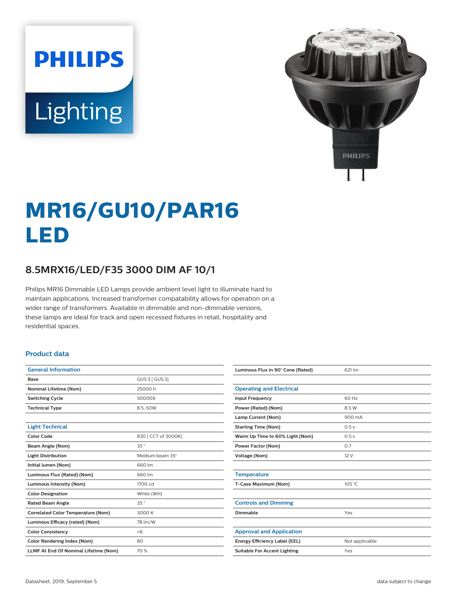# **PHILIPS** Lighting



# **MR16/GU10/PAR16 LED**

## **8.5MRX16/LED/F35 3000 DIM AF 10/1**

Philips MR16 Dimmable LED Lamps provide ambient level light to illuminate hard to maintain applications. Increased transformer compatability allows for operation on a wider range of transformers. Available in dimmable and non-dimmable versions, these lamps are ideal for track and open recessed fixtures in retail, hospitality and residential spaces.

#### **Product data**

| <b>General Information</b>                   |                     |  |
|----------------------------------------------|---------------------|--|
| Base                                         | GU5.3   GU5.31      |  |
| <b>Nominal Lifetime (Nom)</b>                | 25000 h             |  |
| <b>Switching Cycle</b>                       | 50000X              |  |
| <b>Technical Type</b>                        | 8.5-50W             |  |
|                                              |                     |  |
| <b>Light Technical</b>                       |                     |  |
| Color Code                                   | 830   CCT of 3000K] |  |
| Beam Angle (Nom)                             | 35°                 |  |
| <b>Light Distribution</b>                    | Medium beam 35°     |  |
| Initial lumen (Nom)                          | 660 lm              |  |
| Luminous Flux (Rated) (Nom)                  | 660 lm              |  |
| <b>Luminous Intensity (Nom)</b>              | 1700 cd             |  |
| <b>Color Designation</b>                     | White (WH)          |  |
| <b>Rated Beam Angle</b>                      | 35°                 |  |
| <b>Correlated Color Temperature (Nom)</b>    | 3000 K              |  |
| Luminous Efficacy (rated) (Nom)              | 78 lm/W             |  |
| <b>Color Consistency</b>                     | < 6                 |  |
| <b>Color Rendering Index (Nom)</b>           | 80                  |  |
| <b>LLMF At End Of Nominal Lifetime (Nom)</b> | 70%                 |  |

| Luminous Flux in 90° Cone (Rated)   | 621 lm         |
|-------------------------------------|----------------|
|                                     |                |
| <b>Operating and Electrical</b>     |                |
| <b>Input Frequency</b>              | 60 Hz          |
| Power (Rated) (Nom)                 | 8.5 W          |
| Lamp Current (Nom)                  | 900 mA         |
| <b>Starting Time (Nom)</b>          | 0.5s           |
| Warm Up Time to 60% Light (Nom)     | 0.5s           |
| <b>Power Factor (Nom)</b>           | 0.7            |
| <b>Voltage (Nom)</b>                | 12 V           |
|                                     |                |
| <b>Temperature</b>                  |                |
| T-Case Maximum (Nom)                | 105 °C         |
|                                     |                |
| <b>Controls and Dimming</b>         |                |
| Dimmable                            | Yes            |
|                                     |                |
| <b>Approval and Application</b>     |                |
| Energy Efficiency Label (EEL)       | Not applicable |
| <b>Suitable For Accent Lighting</b> | Yes            |
|                                     |                |